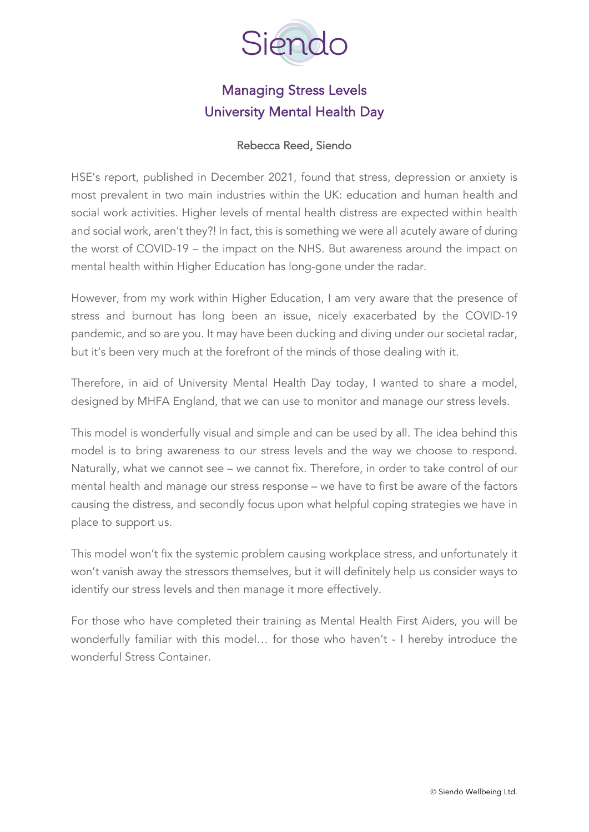

# Managing Stress Levels University Mental Health Day

#### [Rebecca Reed, Siendo](https://www.linkedin.com/in/rebecca-reed-cheetham/)

[HSE's report, published in](https://www.hse.gov.uk/statistics/causdis/stress.pdf) December 2021, found that stress, depression or anxiety is most prevalent in two main industries within the UK: education and human health and social work activities. Higher levels of mental health distress are expected within health and social work, aren't they?! In fact, this is something we were all acutely aware of during the worst of COVID-19 – the impact on the NHS. But awareness around the impact on mental health within Higher Education has long-gone under the radar.

However, from my work within Higher Education, I am very aware that the presence of stress and burnout has long been an issue, nicely exacerbated by the COVID-19 pandemic, and so are you. It may have been ducking and diving under our societal radar, but it's been very much at the forefront of the minds of those dealing with it.

Therefore, in aid of University Mental Health Day today, I wanted to share a model, designed by MHFA England, that we can use to monitor and manage our stress levels.

This model is wonderfully visual and simple and can be used by all. The idea behind this model is to bring awareness to our stress levels and the way we choose to respond. Naturally, what we cannot see – we cannot fix. Therefore, in order to take control of our mental health and manage our stress response – we have to first be aware of the factors causing the distress, and secondly focus upon what helpful coping strategies we have in place to support us.

This model won't fix the systemic problem causing workplace stress, and unfortunately it won't vanish away the stressors themselves, but it will definitely help us consider ways to identify our stress levels and then manage it more effectively.

For those who have completed their training as Mental Health First Aiders, you will be wonderfully familiar with this model… for those who haven't - I hereby introduce the wonderful Stress Container.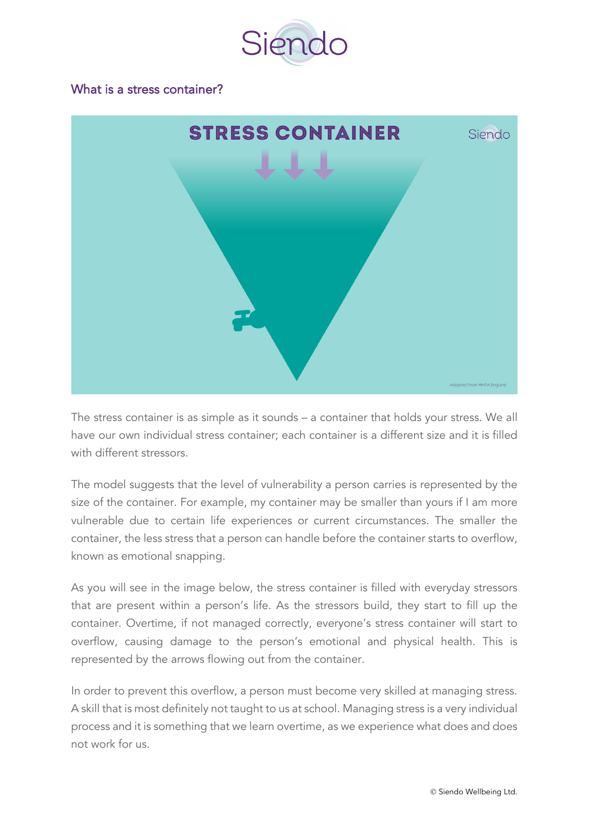

#### What is a stress container?



The stress container is as simple as it sounds – a container that holds your stress. We all have our own individual stress container; each container is a different size and it is filled with different stressors.

The model suggests that the level of vulnerability a person carries is represented by the size of the container. For example, my container may be smaller than yours if I am more vulnerable due to certain life experiences or current circumstances. The smaller the container, the less stress that a person can handle before the container starts to overflow, known as emotional snapping.

As you will see in the image below, the stress container is filled with everyday stressors that are present within a person's life. As the stressors build, they start to fill up the container. Overtime, if not managed correctly, everyone's stress container will start to overflow, causing damage to the person's emotional and physical health. This is represented by the arrows flowing out from the container.

In order to prevent this overflow, a person must become very skilled at managing stress. A skill that is most definitely not taught to us at school. Managing stress is a very individual process and it is something that we learn overtime, as we experience what does and does not work for us.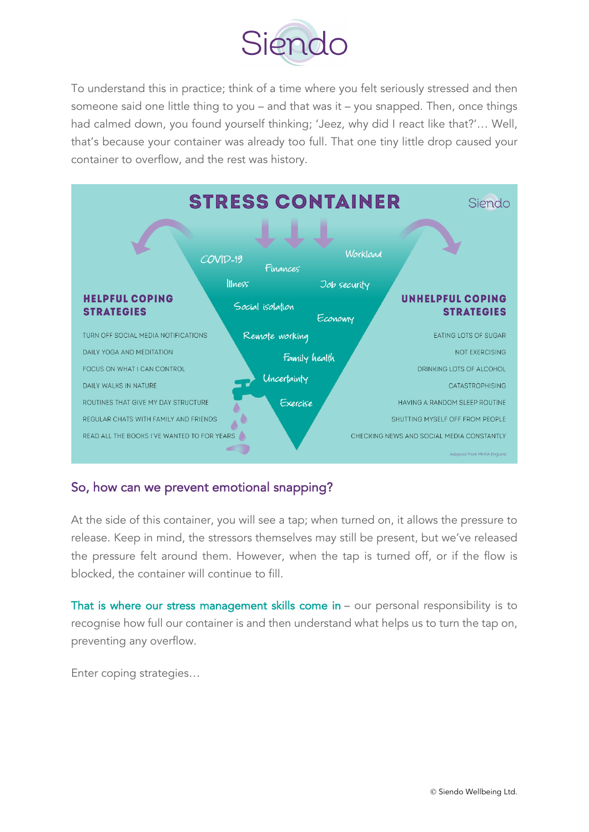

To understand this in practice; think of a time where you felt seriously stressed and then someone said one little thing to you – and that was it – you snapped. Then, once things had calmed down, you found yourself thinking; 'Jeez, why did I react like that?'… Well, that's because your container was already too full. That one tiny little drop caused your container to overflow, and the rest was history.



#### So, how can we prevent emotional snapping?

At the side of this container, you will see a tap; when turned on, it allows the pressure to release. Keep in mind, the stressors themselves may still be present, but we've released the pressure felt around them. However, when the tap is turned off, or if the flow is blocked, the container will continue to fill.

That is where our stress management skills come in – our personal responsibility is to recognise how full our container is and then understand what helps us to turn the tap on, preventing any overflow.

Enter coping strategies…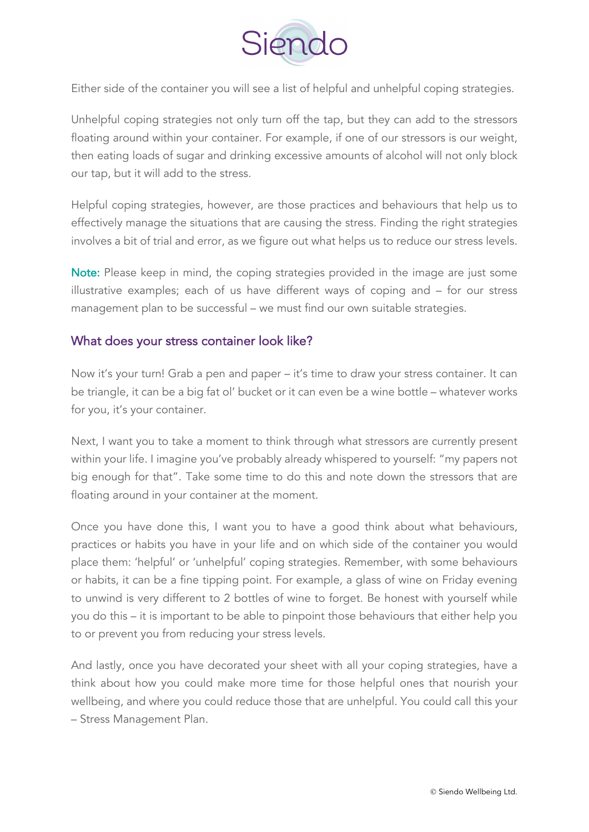

Either side of the container you will see a list of helpful and unhelpful coping strategies.

Unhelpful coping strategies not only turn off the tap, but they can add to the stressors floating around within your container. For example, if one of our stressors is our weight, then eating loads of sugar and drinking excessive amounts of alcohol will not only block our tap, but it will add to the stress.

Helpful coping strategies, however, are those practices and behaviours that help us to effectively manage the situations that are causing the stress. Finding the right strategies involves a bit of trial and error, as we figure out what helps us to reduce our stress levels.

Note: Please keep in mind, the coping strategies provided in the image are just some illustrative examples; each of us have different ways of coping and – for our stress management plan to be successful – we must find our own suitable strategies.

### What does your stress container look like?

Now it's your turn! Grab a pen and paper – it's time to draw your stress container. It can be triangle, it can be a big fat ol' bucket or it can even be a wine bottle – whatever works for you, it's your container.

Next, I want you to take a moment to think through what stressors are currently present within your life. I imagine you've probably already whispered to yourself: "my papers not big enough for that". Take some time to do this and note down the stressors that are floating around in your container at the moment.

Once you have done this, I want you to have a good think about what behaviours, practices or habits you have in your life and on which side of the container you would place them: 'helpful' or 'unhelpful' coping strategies. Remember, with some behaviours or habits, it can be a fine tipping point. For example, a glass of wine on Friday evening to unwind is very different to 2 bottles of wine to forget. Be honest with yourself while you do this – it is important to be able to pinpoint those behaviours that either help you to or prevent you from reducing your stress levels.

And lastly, once you have decorated your sheet with all your coping strategies, have a think about how you could make more time for those helpful ones that nourish your wellbeing, and where you could reduce those that are unhelpful. You could call this your – Stress Management Plan.